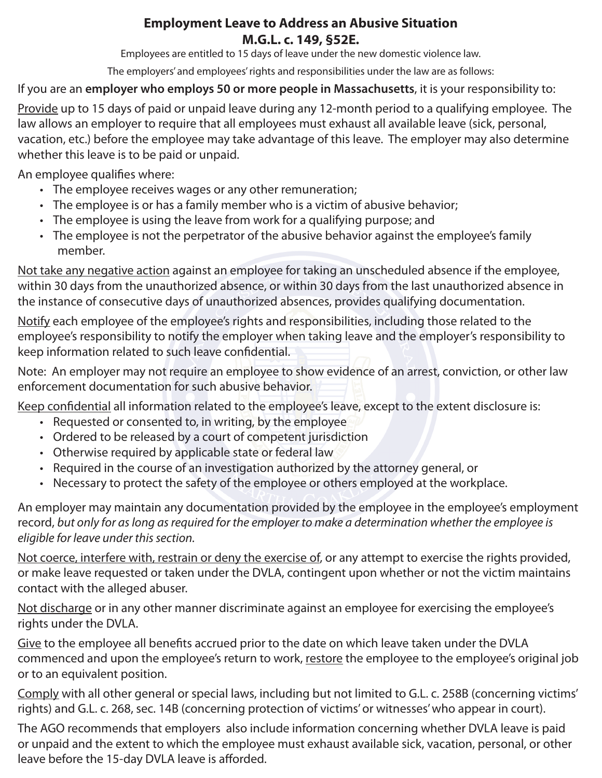# **Employment Leave to Address an Abusive Situation M.G.L. c. 149, §52E.**

Employees are entitled to 15 days of leave under the new domestic violence law.

The employers' and employees' rights and responsibilities under the law are as follows:

If you are an **employer who employs 50 or more people in Massachusetts**, it is your responsibility to:

Provide up to 15 days of paid or unpaid leave during any 12-month period to a qualifying employee. The law allows an employer to require that all employees must exhaust all available leave (sick, personal, vacation, etc.) before the employee may take advantage of this leave. The employer may also determine whether this leave is to be paid or unpaid.

An employee qualifies where:

- The employee receives wages or any other remuneration;
- The employee is or has a family member who is a victim of abusive behavior;
- The employee is using the leave from work for a qualifying purpose; and
- The employee is not the perpetrator of the abusive behavior against the employee's family member.

Not take any negative action against an employee for taking an unscheduled absence if the employee, within 30 days from the unauthorized absence, or within 30 days from the last unauthorized absence in the instance of consecutive days of unauthorized absences, provides qualifying documentation.

Notify each employee of the employee's rights and responsibilities, including those related to the employee's responsibility to notify the employer when taking leave and the employer's responsibility to keep information related to such leave confidential.

Note: An employer may not require an employee to show evidence of an arrest, conviction, or other law enforcement documentation for such abusive behavior.

Keep confidential all information related to the employee's leave, except to the extent disclosure is:

- Requested or consented to, in writing, by the employee
- Ordered to be released by a court of competent jurisdiction
- Otherwise required by applicable state or federal law
- Required in the course of an investigation authorized by the attorney general, or
- Necessary to protect the safety of the employee or others employed at the workplace.

An employer may maintain any documentation provided by the employee in the employee's employment record, *but only for as long as required for the employer to make a determination whether the employee is eligible for leave under this section.*

Not coerce, interfere with, restrain or deny the exercise of, or any attempt to exercise the rights provided, or make leave requested or taken under the DVLA, contingent upon whether or not the victim maintains contact with the alleged abuser.

Not discharge or in any other manner discriminate against an employee for exercising the employee's rights under the DVLA.

Give to the employee all benefits accrued prior to the date on which leave taken under the DVLA commenced and upon the employee's return to work, restore the employee to the employee's original job or to an equivalent position.

Comply with all other general or special laws, including but not limited to G.L. c. 258B (concerning victims' rights) and G.L. c. 268, sec. 14B (concerning protection of victims' or witnesses' who appear in court).

The AGO recommends that employers also include information concerning whether DVLA leave is paid or unpaid and the extent to which the employee must exhaust available sick, vacation, personal, or other leave before the 15-day DVLA leave is afforded.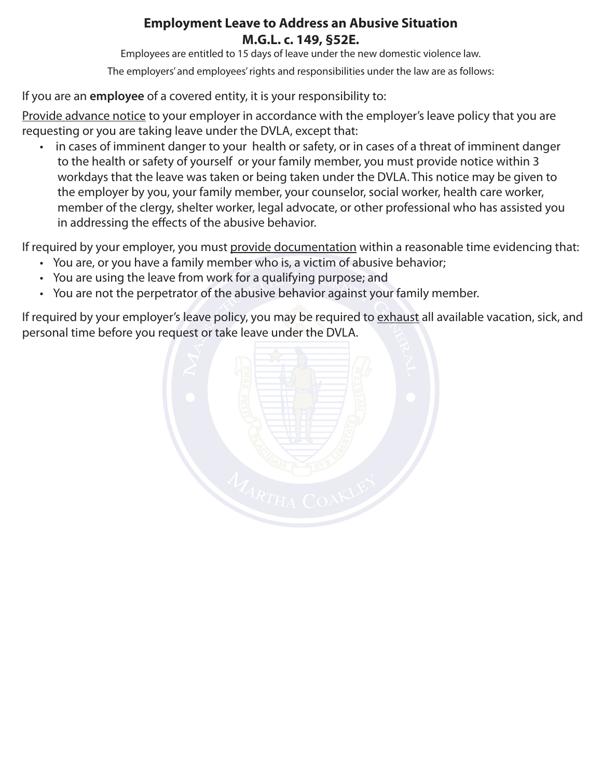# **Employment Leave to Address an Abusive Situation M.G.L. c. 149, §52E.**

Employees are entitled to 15 days of leave under the new domestic violence law.

The employers' and employees' rights and responsibilities under the law are as follows:

If you are an **employee** of a covered entity, it is your responsibility to:

Provide advance notice to your employer in accordance with the employer's leave policy that you are requesting or you are taking leave under the DVLA, except that:

in cases of imminent danger to your health or safety, or in cases of a threat of imminent danger to the health or safety of yourself or your family member, you must provide notice within 3 workdays that the leave was taken or being taken under the DVLA. This notice may be given to the employer by you, your family member, your counselor, social worker, health care worker, member of the clergy, shelter worker, legal advocate, or other professional who has assisted you in addressing the effects of the abusive behavior.

If required by your employer, you must provide documentation within a reasonable time evidencing that:

- You are, or you have a family member who is, a victim of abusive behavior;
- You are using the leave from work for a qualifying purpose; and
- You are not the perpetrator of the abusive behavior against your family member.

If required by your employer's leave policy, you may be required to exhaust all available vacation, sick, and personal time before you request or take leave under the DVLA.